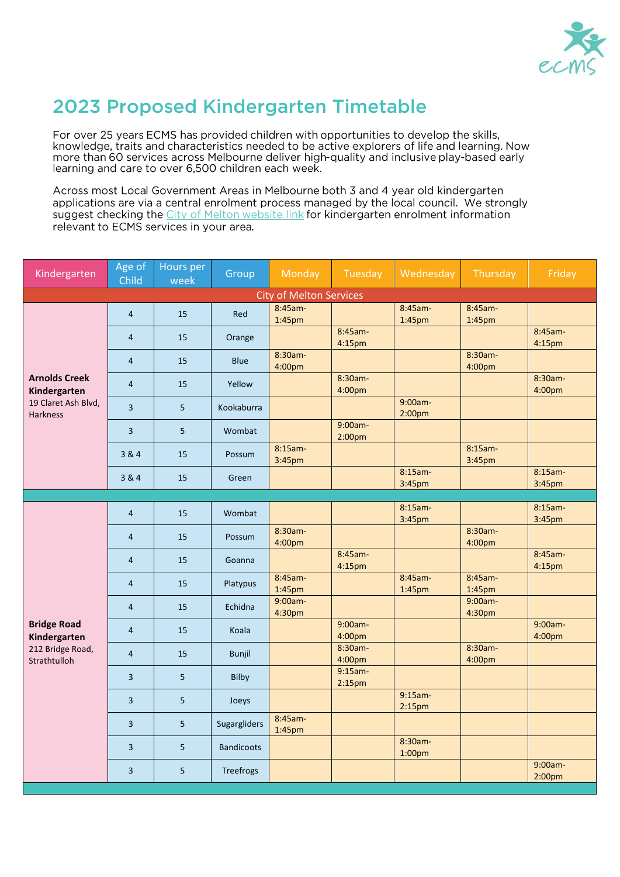

## 2023 Proposed Kindergarten Timetable

For over 25 years ECMS has provided children with opportunities to develop the skills, knowledge, traits and characteristics needed to be active explorers of life and learning. Now more than 60 services across Melbourne deliver high-quality and inclusive play-based early learning and care to over 6,500 children each week.

Across most Local Government Areas in Melbourne both 3 and 4 year old kindergarten applications are via a central enrolment process managed by the local council. We strongly suggest checking the City of Melton website link for kindergarten enrolment information relevant to ECMS services in your area.

| Kindergarten                                                                   | Age of<br>Child | Hours per<br>week | Group             | Monday                        | Tuesday                          | Wednesday                        | Thursday             | Friday                        |  |  |  |
|--------------------------------------------------------------------------------|-----------------|-------------------|-------------------|-------------------------------|----------------------------------|----------------------------------|----------------------|-------------------------------|--|--|--|
| <b>City of Melton Services</b>                                                 |                 |                   |                   |                               |                                  |                                  |                      |                               |  |  |  |
| <b>Arnolds Creek</b><br>Kindergarten<br>19 Claret Ash Blvd,<br><b>Harkness</b> | $\overline{4}$  | 15                | Red               | 8:45am-<br>1:45pm             |                                  | 8:45am-<br>1:45pm                | 8:45am-<br>1:45pm    |                               |  |  |  |
|                                                                                | $\overline{4}$  | 15                | Orange            |                               | 8:45am-<br>4:15pm                |                                  |                      | 8:45am-<br>4:15pm             |  |  |  |
|                                                                                | 4               | 15                | <b>Blue</b>       | 8:30am-<br>4:00pm             |                                  |                                  | 8:30am-<br>4:00pm    |                               |  |  |  |
|                                                                                | 4               | 15                | Yellow            |                               | 8:30am-<br>4:00pm                |                                  |                      | 8:30am-<br>4:00pm             |  |  |  |
|                                                                                | $\overline{3}$  | 5                 | Kookaburra        |                               |                                  | 9:00am-<br>2:00 <sub>pm</sub>    |                      |                               |  |  |  |
|                                                                                | 3               | 5                 | Wombat            |                               | 9:00am-<br>2:00 <sub>pm</sub>    |                                  |                      |                               |  |  |  |
|                                                                                | 3 & 4           | 15                | Possum            | 8:15am-<br>3:45pm             |                                  |                                  | $8:15am -$<br>3:45pm |                               |  |  |  |
|                                                                                | 3 & 4           | 15                | Green             |                               |                                  | 8:15am-<br>3:45pm                |                      | 8:15am-<br>3:45pm             |  |  |  |
|                                                                                |                 |                   |                   |                               |                                  |                                  |                      |                               |  |  |  |
| <b>Bridge Road</b><br>Kindergarten<br>212 Bridge Road,<br>Strathtulloh         | $\overline{4}$  | 15                | Wombat            |                               |                                  | $8:15am -$<br>3:45pm             |                      | $8:15am -$<br>3:45pm          |  |  |  |
|                                                                                | $\overline{4}$  | 15                | Possum            | 8:30am-<br>4:00pm             |                                  |                                  | 8:30am-<br>4:00pm    |                               |  |  |  |
|                                                                                | 4               | 15                | Goanna            |                               | 8:45am-<br>4:15pm                |                                  |                      | 8:45am-<br>4:15pm             |  |  |  |
|                                                                                | $\overline{4}$  | 15                | Platypus          | 8:45am-<br>1:45 <sub>pm</sub> |                                  | 8:45am-<br>1:45pm                | 8:45am-<br>1:45pm    |                               |  |  |  |
|                                                                                | $\overline{4}$  | 15                | Echidna           | 9:00am-<br>4:30 <sub>pm</sub> |                                  |                                  | 9:00am-<br>4:30pm    |                               |  |  |  |
|                                                                                | 4               | 15                | Koala             |                               | 9:00am-<br>4:00pm                |                                  |                      | 9:00am-<br>4:00pm             |  |  |  |
|                                                                                | $\overline{4}$  | 15                | <b>Bunjil</b>     |                               | 8:30am-<br>4:00pm                |                                  | 8:30am-<br>4:00pm    |                               |  |  |  |
|                                                                                | 3               | 5                 | <b>Bilby</b>      |                               | $9:15am -$<br>2:15 <sub>pm</sub> |                                  |                      |                               |  |  |  |
|                                                                                | 3               | 5                 | Joeys             |                               |                                  | $9:15am -$<br>2:15 <sub>pm</sub> |                      |                               |  |  |  |
|                                                                                | 3               | $5\phantom{.0}$   | Sugargliders      | 8:45am-<br>1:45pm             |                                  |                                  |                      |                               |  |  |  |
|                                                                                | 3               | 5                 | <b>Bandicoots</b> |                               |                                  | 8:30am-<br>1:00 <sub>pm</sub>    |                      |                               |  |  |  |
|                                                                                | 3               | 5                 | Treefrogs         |                               |                                  |                                  |                      | 9:00am-<br>2:00 <sub>pm</sub> |  |  |  |